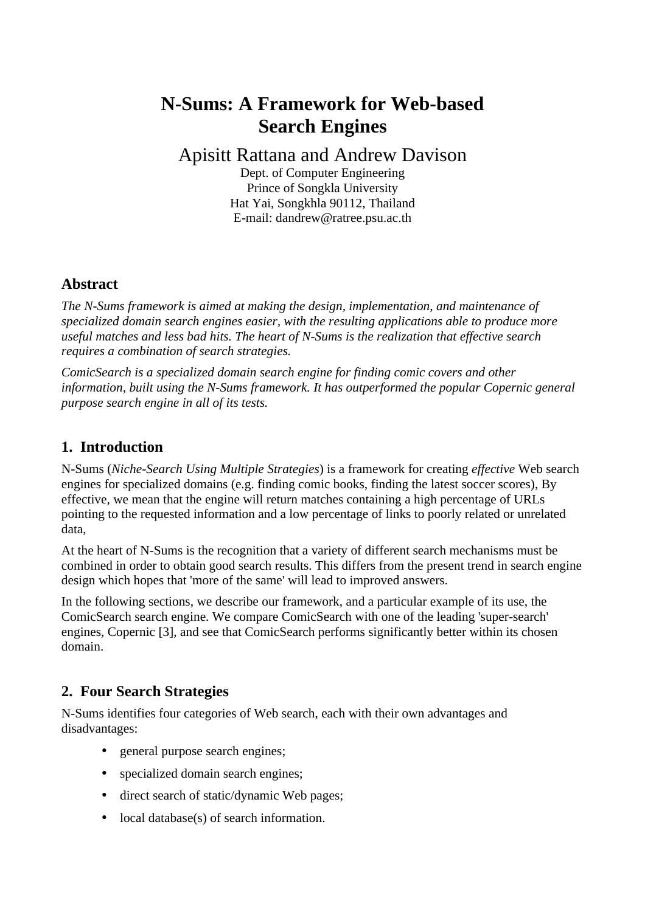# **N-Sums: A Framework for Web-based Search Engines**

## Apisitt Rattana and Andrew Davison

Dept. of Computer Engineering Prince of Songkla University Hat Yai, Songkhla 90112, Thailand E-mail: dandrew@ratree.psu.ac.th

### **Abstract**

*The N-Sums framework is aimed at making the design, implementation, and maintenance of specialized domain search engines easier, with the resulting applications able to produce more useful matches and less bad hits. The heart of N-Sums is the realization that effective search requires a combination of search strategies.*

*ComicSearch is a specialized domain search engine for finding comic covers and other information, built using the N-Sums framework. It has outperformed the popular Copernic general purpose search engine in all of its tests.*

### **1. Introduction**

N-Sums (*Niche-Search Using Multiple Strategies*) is a framework for creating *effective* Web search engines for specialized domains (e.g. finding comic books, finding the latest soccer scores), By effective, we mean that the engine will return matches containing a high percentage of URLs pointing to the requested information and a low percentage of links to poorly related or unrelated data,

At the heart of N-Sums is the recognition that a variety of different search mechanisms must be combined in order to obtain good search results. This differs from the present trend in search engine design which hopes that 'more of the same' will lead to improved answers.

In the following sections, we describe our framework, and a particular example of its use, the ComicSearch search engine. We compare ComicSearch with one of the leading 'super-search' engines, Copernic [3], and see that ComicSearch performs significantly better within its chosen domain.

### **2. Four Search Strategies**

N-Sums identifies four categories of Web search, each with their own advantages and disadvantages:

- general purpose search engines;
- specialized domain search engines;
- direct search of static/dynamic Web pages;
- local database(s) of search information.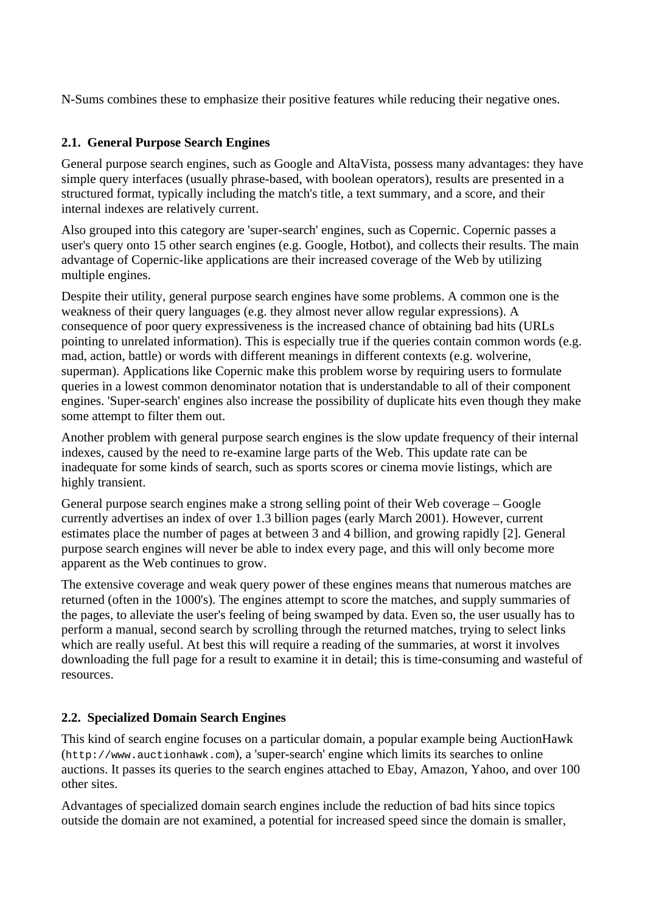N-Sums combines these to emphasize their positive features while reducing their negative ones.

#### **2.1. General Purpose Search Engines**

General purpose search engines, such as Google and AltaVista, possess many advantages: they have simple query interfaces (usually phrase-based, with boolean operators), results are presented in a structured format, typically including the match's title, a text summary, and a score, and their internal indexes are relatively current.

Also grouped into this category are 'super-search' engines, such as Copernic. Copernic passes a user's query onto 15 other search engines (e.g. Google, Hotbot), and collects their results. The main advantage of Copernic-like applications are their increased coverage of the Web by utilizing multiple engines.

Despite their utility, general purpose search engines have some problems. A common one is the weakness of their query languages (e.g. they almost never allow regular expressions). A consequence of poor query expressiveness is the increased chance of obtaining bad hits (URLs pointing to unrelated information). This is especially true if the queries contain common words (e.g. mad, action, battle) or words with different meanings in different contexts (e.g. wolverine, superman). Applications like Copernic make this problem worse by requiring users to formulate queries in a lowest common denominator notation that is understandable to all of their component engines. 'Super-search' engines also increase the possibility of duplicate hits even though they make some attempt to filter them out.

Another problem with general purpose search engines is the slow update frequency of their internal indexes, caused by the need to re-examine large parts of the Web. This update rate can be inadequate for some kinds of search, such as sports scores or cinema movie listings, which are highly transient.

General purpose search engines make a strong selling point of their Web coverage – Google currently advertises an index of over 1.3 billion pages (early March 2001). However, current estimates place the number of pages at between 3 and 4 billion, and growing rapidly [2]. General purpose search engines will never be able to index every page, and this will only become more apparent as the Web continues to grow.

The extensive coverage and weak query power of these engines means that numerous matches are returned (often in the 1000's). The engines attempt to score the matches, and supply summaries of the pages, to alleviate the user's feeling of being swamped by data. Even so, the user usually has to perform a manual, second search by scrolling through the returned matches, trying to select links which are really useful. At best this will require a reading of the summaries, at worst it involves downloading the full page for a result to examine it in detail; this is time-consuming and wasteful of resources.

#### **2.2. Specialized Domain Search Engines**

This kind of search engine focuses on a particular domain, a popular example being AuctionHawk (http://www.auctionhawk.com), a 'super-search' engine which limits its searches to online auctions. It passes its queries to the search engines attached to Ebay, Amazon, Yahoo, and over 100 other sites.

Advantages of specialized domain search engines include the reduction of bad hits since topics outside the domain are not examined, a potential for increased speed since the domain is smaller,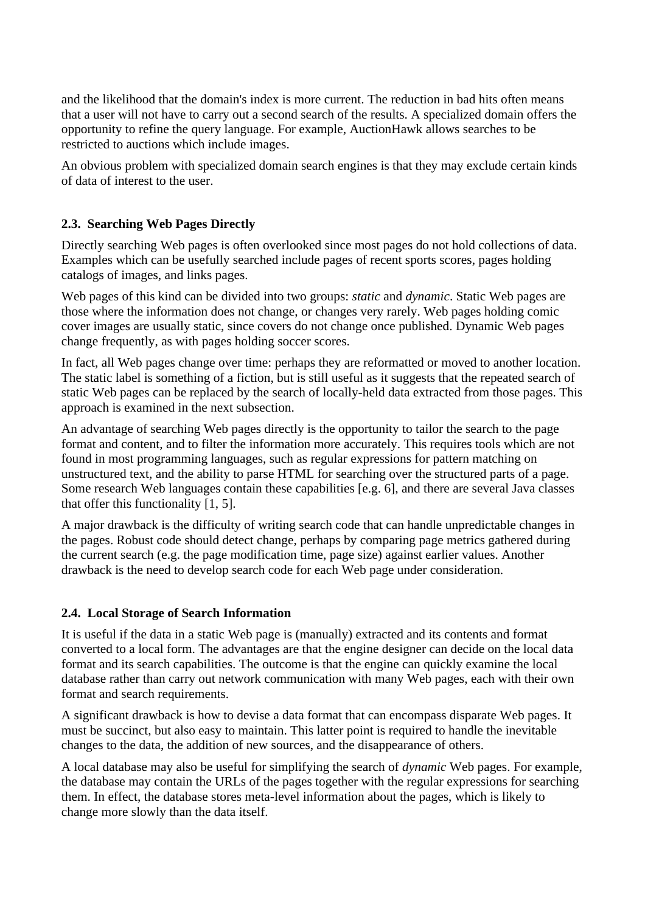and the likelihood that the domain's index is more current. The reduction in bad hits often means that a user will not have to carry out a second search of the results. A specialized domain offers the opportunity to refine the query language. For example, AuctionHawk allows searches to be restricted to auctions which include images.

An obvious problem with specialized domain search engines is that they may exclude certain kinds of data of interest to the user.

#### **2.3. Searching Web Pages Directly**

Directly searching Web pages is often overlooked since most pages do not hold collections of data. Examples which can be usefully searched include pages of recent sports scores, pages holding catalogs of images, and links pages.

Web pages of this kind can be divided into two groups: *static* and *dynamic*. Static Web pages are those where the information does not change, or changes very rarely. Web pages holding comic cover images are usually static, since covers do not change once published. Dynamic Web pages change frequently, as with pages holding soccer scores.

In fact, all Web pages change over time: perhaps they are reformatted or moved to another location. The static label is something of a fiction, but is still useful as it suggests that the repeated search of static Web pages can be replaced by the search of locally-held data extracted from those pages. This approach is examined in the next subsection.

An advantage of searching Web pages directly is the opportunity to tailor the search to the page format and content, and to filter the information more accurately. This requires tools which are not found in most programming languages, such as regular expressions for pattern matching on unstructured text, and the ability to parse HTML for searching over the structured parts of a page. Some research Web languages contain these capabilities [e.g. 6], and there are several Java classes that offer this functionality [1, 5].

A major drawback is the difficulty of writing search code that can handle unpredictable changes in the pages. Robust code should detect change, perhaps by comparing page metrics gathered during the current search (e.g. the page modification time, page size) against earlier values. Another drawback is the need to develop search code for each Web page under consideration.

#### **2.4. Local Storage of Search Information**

It is useful if the data in a static Web page is (manually) extracted and its contents and format converted to a local form. The advantages are that the engine designer can decide on the local data format and its search capabilities. The outcome is that the engine can quickly examine the local database rather than carry out network communication with many Web pages, each with their own format and search requirements.

A significant drawback is how to devise a data format that can encompass disparate Web pages. It must be succinct, but also easy to maintain. This latter point is required to handle the inevitable changes to the data, the addition of new sources, and the disappearance of others.

A local database may also be useful for simplifying the search of *dynamic* Web pages. For example, the database may contain the URLs of the pages together with the regular expressions for searching them. In effect, the database stores meta-level information about the pages, which is likely to change more slowly than the data itself.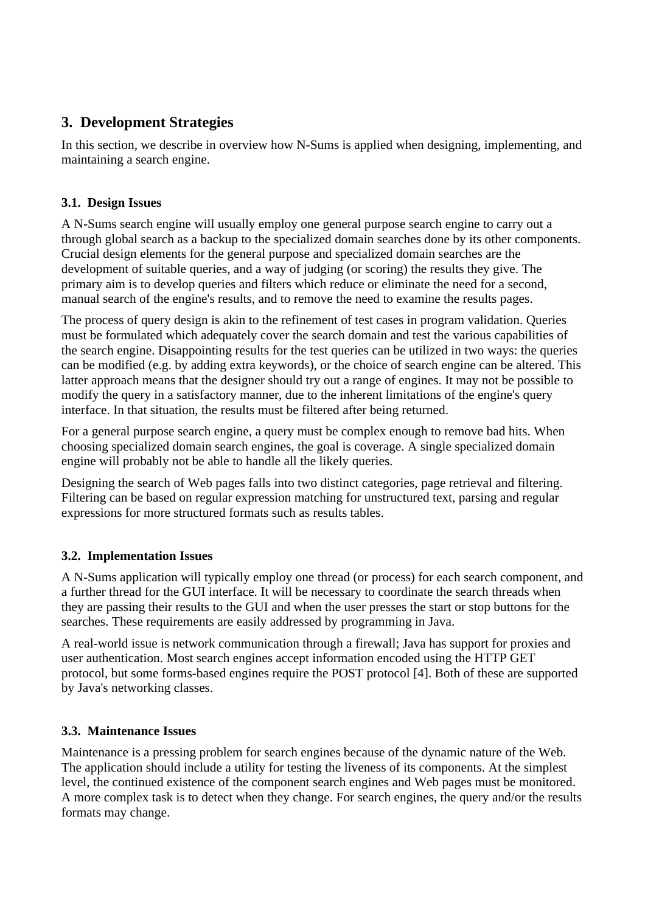### **3. Development Strategies**

In this section, we describe in overview how N-Sums is applied when designing, implementing, and maintaining a search engine.

#### **3.1. Design Issues**

A N-Sums search engine will usually employ one general purpose search engine to carry out a through global search as a backup to the specialized domain searches done by its other components. Crucial design elements for the general purpose and specialized domain searches are the development of suitable queries, and a way of judging (or scoring) the results they give. The primary aim is to develop queries and filters which reduce or eliminate the need for a second, manual search of the engine's results, and to remove the need to examine the results pages.

The process of query design is akin to the refinement of test cases in program validation. Queries must be formulated which adequately cover the search domain and test the various capabilities of the search engine. Disappointing results for the test queries can be utilized in two ways: the queries can be modified (e.g. by adding extra keywords), or the choice of search engine can be altered. This latter approach means that the designer should try out a range of engines. It may not be possible to modify the query in a satisfactory manner, due to the inherent limitations of the engine's query interface. In that situation, the results must be filtered after being returned.

For a general purpose search engine, a query must be complex enough to remove bad hits. When choosing specialized domain search engines, the goal is coverage. A single specialized domain engine will probably not be able to handle all the likely queries.

Designing the search of Web pages falls into two distinct categories, page retrieval and filtering. Filtering can be based on regular expression matching for unstructured text, parsing and regular expressions for more structured formats such as results tables.

#### **3.2. Implementation Issues**

A N-Sums application will typically employ one thread (or process) for each search component, and a further thread for the GUI interface. It will be necessary to coordinate the search threads when they are passing their results to the GUI and when the user presses the start or stop buttons for the searches. These requirements are easily addressed by programming in Java.

A real-world issue is network communication through a firewall; Java has support for proxies and user authentication. Most search engines accept information encoded using the HTTP GET protocol, but some forms-based engines require the POST protocol [4]. Both of these are supported by Java's networking classes.

#### **3.3. Maintenance Issues**

Maintenance is a pressing problem for search engines because of the dynamic nature of the Web. The application should include a utility for testing the liveness of its components. At the simplest level, the continued existence of the component search engines and Web pages must be monitored. A more complex task is to detect when they change. For search engines, the query and/or the results formats may change.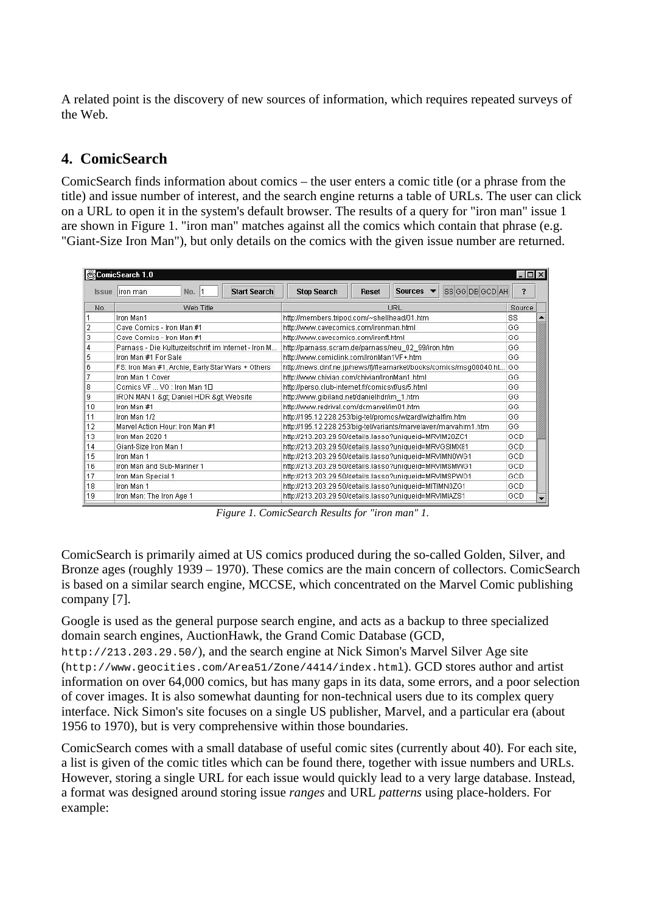A related point is the discovery of new sources of information, which requires repeated surveys of the Web.

### **4. ComicSearch**

ComicSearch finds information about comics – the user enters a comic title (or a phrase from the title) and issue number of interest, and the search engine returns a table of URLs. The user can click on a URL to open it in the system's default browser. The results of a query for "iron man" issue 1 are shown in Figure 1. "iron man" matches against all the comics which contain that phrase (e.g. "Giant-Size Iron Man"), but only details on the comics with the given issue number are returned.

| ComicSearch 1.0 |                                                      |                                                                         |                                 |  |  |  |  |  |  |
|-----------------|------------------------------------------------------|-------------------------------------------------------------------------|---------------------------------|--|--|--|--|--|--|
| <b>Issue</b>    | <b>Start Search</b><br>No.<br>liron man              | SS GG DB GCD AH<br><b>Sources</b><br><b>Stop Search</b><br><b>Reset</b> | $\overline{\mathbf{r}}$         |  |  |  |  |  |  |
| No.             | Web Title                                            | URL                                                                     | Source                          |  |  |  |  |  |  |
|                 | Iron Man1                                            | http://members.tripod.com/~shellhead/01.htm                             | <b>SS</b>                       |  |  |  |  |  |  |
|                 | Cave Comics - Iron Man #1                            | http://www.cavecomics.com/ironman.html                                  | GG                              |  |  |  |  |  |  |
|                 | Cave Comics - Iron Man #1                            | http://www.cavecomics.com/ironft.html                                   | GG                              |  |  |  |  |  |  |
|                 | Parnass - Die Kulturzeitschrift im Internet - Iron M | http://parnass.scram.de/parnass/neu 02 99/iron.htm                      | GG                              |  |  |  |  |  |  |
| 5               | Iron Man #1 For Sale                                 | http://www.comiclink.com/IronMan1VF+.htm                                | GG                              |  |  |  |  |  |  |
| 6               | FS: Iron Man #1, Archie, Early Star Wars + Others    | http://news.dinf.ne.jp/news/fi/fleamarket/books/comics/msq00040.ht      | GG                              |  |  |  |  |  |  |
|                 | Iron Man 1 Cover                                     | http://www.chivian.com/chivian/IronMan1.html                            | GG                              |  |  |  |  |  |  |
| 8               | Comics VE VO: Iron Man 1EL                           | http://perso.club-internet.fr/comicsvf/us/5.html                        | GG                              |  |  |  |  |  |  |
| 9               | IRON MAN 1 > Daniel HDR > Website                    | http://www.gibiland.net/danielhdr/im_1.htm                              | GG                              |  |  |  |  |  |  |
| 10              | Iron Man #1                                          | http://www.redrival.com/dcmarvel/im01.htm                               | GG                              |  |  |  |  |  |  |
| 11              | Iron Man 1/2                                         | http://195.12.228.253/big-tel/promos/wizard/wizhalfim.htm               | GG                              |  |  |  |  |  |  |
| 12              | Marvel Action Hour: Iron Man #1                      | http://195.12.228.253/big-tel/variants/marvelaven/marvahim1.htm         | GG                              |  |  |  |  |  |  |
| 13              | Iron Man 2020 1                                      | http://213.203.29.50/details.lasso?uniqueid=MRVIM20ZC1                  | GCD                             |  |  |  |  |  |  |
| 14              | Giant-Size Iron Man 1                                | http://213.203.29.50/details.lasso?uniqueid=MRVGSIMX81                  | GCD                             |  |  |  |  |  |  |
| 15              | Iron Man 1                                           | http://213.203.29.50/details.lasso?uniqueid=MRVIMN0WG1                  | GCD                             |  |  |  |  |  |  |
| 16              | Iron Man and Sub-Mariner 1                           | http://213.203.29.50/details.lasso?uniqueid=MRVIMSMWG1                  | GCD                             |  |  |  |  |  |  |
| 17              | Iron Man Special 1                                   | http://213.203.29.50/details.lasso?uniqueid=MRVIMSPWO1                  | GCD                             |  |  |  |  |  |  |
| 18              | Iron Man 1                                           | http://213.203.29.50/details.lasso?uniqueid=MITIMN0ZG1                  | GCD                             |  |  |  |  |  |  |
| 19              | Iron Man: The Iron Age 1                             | http://213.203.29.50/details.lasso?uniqueid=MRVIMIAZS1                  | GCD<br>$\overline{\phantom{a}}$ |  |  |  |  |  |  |

*Figure 1. ComicSearch Results for "iron man" 1.*

ComicSearch is primarily aimed at US comics produced during the so-called Golden, Silver, and Bronze ages (roughly 1939 – 1970). These comics are the main concern of collectors. ComicSearch is based on a similar search engine, MCCSE, which concentrated on the Marvel Comic publishing company [7].

Google is used as the general purpose search engine, and acts as a backup to three specialized domain search engines, AuctionHawk, the Grand Comic Database (GCD,

http://213.203.29.50/), and the search engine at Nick Simon's Marvel Silver Age site (http://www.geocities.com/Area51/Zone/4414/index.html). GCD stores author and artist information on over 64,000 comics, but has many gaps in its data, some errors, and a poor selection of cover images. It is also somewhat daunting for non-technical users due to its complex query interface. Nick Simon's site focuses on a single US publisher, Marvel, and a particular era (about 1956 to 1970), but is very comprehensive within those boundaries.

ComicSearch comes with a small database of useful comic sites (currently about 40). For each site, a list is given of the comic titles which can be found there, together with issue numbers and URLs. However, storing a single URL for each issue would quickly lead to a very large database. Instead, a format was designed around storing issue *ranges* and URL *patterns* using place-holders. For example: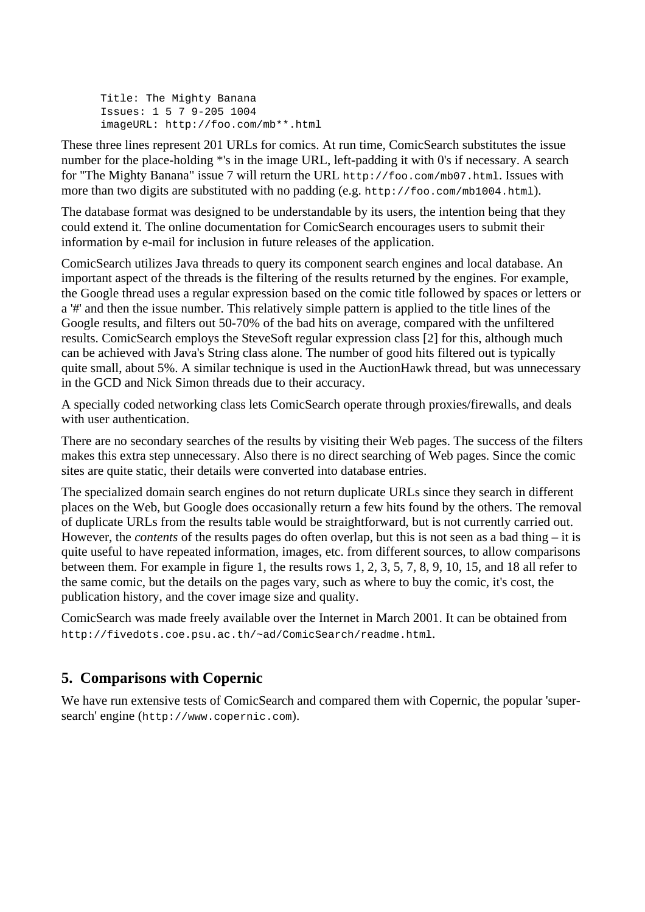Title: The Mighty Banana Issues: 1 5 7 9-205 1004 imageURL: http://foo.com/mb\*\*.html

These three lines represent 201 URLs for comics. At run time, ComicSearch substitutes the issue number for the place-holding \*'s in the image URL, left-padding it with 0's if necessary. A search for "The Mighty Banana" issue 7 will return the URL http://foo.com/mb07.html. Issues with more than two digits are substituted with no padding (e.g. http://foo.com/mb1004.html).

The database format was designed to be understandable by its users, the intention being that they could extend it. The online documentation for ComicSearch encourages users to submit their information by e-mail for inclusion in future releases of the application.

ComicSearch utilizes Java threads to query its component search engines and local database. An important aspect of the threads is the filtering of the results returned by the engines. For example, the Google thread uses a regular expression based on the comic title followed by spaces or letters or a '#' and then the issue number. This relatively simple pattern is applied to the title lines of the Google results, and filters out 50-70% of the bad hits on average, compared with the unfiltered results. ComicSearch employs the SteveSoft regular expression class [2] for this, although much can be achieved with Java's String class alone. The number of good hits filtered out is typically quite small, about 5%. A similar technique is used in the AuctionHawk thread, but was unnecessary in the GCD and Nick Simon threads due to their accuracy.

A specially coded networking class lets ComicSearch operate through proxies/firewalls, and deals with user authentication.

There are no secondary searches of the results by visiting their Web pages. The success of the filters makes this extra step unnecessary. Also there is no direct searching of Web pages. Since the comic sites are quite static, their details were converted into database entries.

The specialized domain search engines do not return duplicate URLs since they search in different places on the Web, but Google does occasionally return a few hits found by the others. The removal of duplicate URLs from the results table would be straightforward, but is not currently carried out. However, the *contents* of the results pages do often overlap, but this is not seen as a bad thing – it is quite useful to have repeated information, images, etc. from different sources, to allow comparisons between them. For example in figure 1, the results rows 1, 2, 3, 5, 7, 8, 9, 10, 15, and 18 all refer to the same comic, but the details on the pages vary, such as where to buy the comic, it's cost, the publication history, and the cover image size and quality.

ComicSearch was made freely available over the Internet in March 2001. It can be obtained from http://fivedots.coe.psu.ac.th/~ad/ComicSearch/readme.html.

### **5. Comparisons with Copernic**

We have run extensive tests of ComicSearch and compared them with Copernic, the popular 'supersearch' engine (http://www.copernic.com).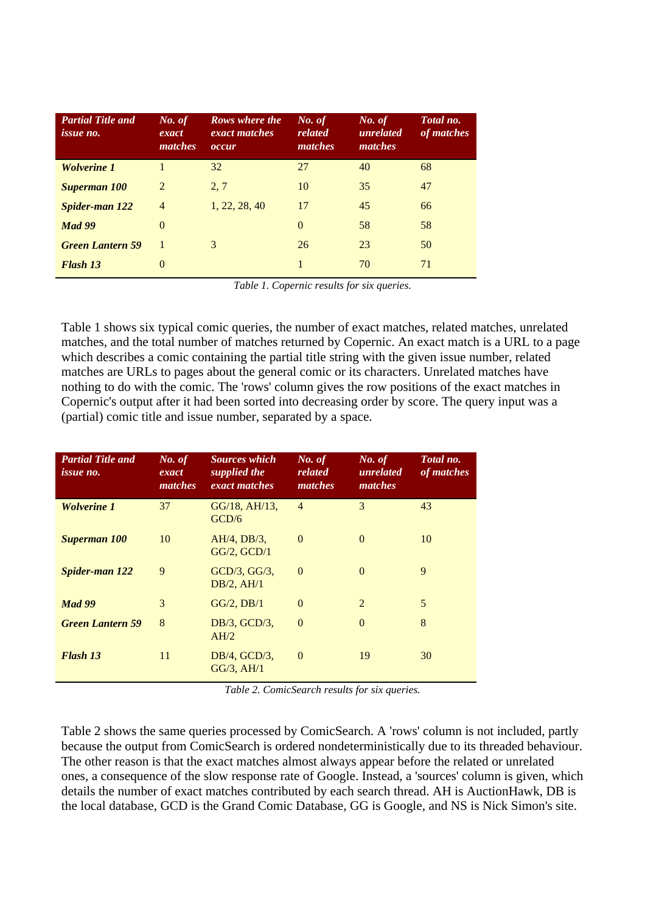| <b>Partial Title and</b><br><i>issue no.</i> | No. of<br>exact<br>matches | Rows where the<br>exact matches<br>occur | No. of<br>related<br>matches | No. of<br>unrelated<br>matches | Total no.<br>of matches |
|----------------------------------------------|----------------------------|------------------------------------------|------------------------------|--------------------------------|-------------------------|
| <b>Wolverine 1</b>                           |                            | 32                                       | 27                           | 40                             | 68                      |
| <b>Superman 100</b>                          | 2                          | 2, 7                                     | 10                           | 35                             | 47                      |
| <b>Spider-man 122</b>                        | $\overline{4}$             | 1, 22, 28, 40                            | 17                           | 45                             | 66                      |
| <b>Mad 99</b>                                | $\Omega$                   |                                          | $\Omega$                     | 58                             | 58                      |
| <b>Green Lantern 59</b>                      | $\overline{1}$             | 3                                        | 26                           | 23                             | 50                      |
| <b>Flash 13</b>                              | $\Omega$                   |                                          |                              | 70                             | 71                      |

*Table 1. Copernic results for six queries.*

Table 1 shows six typical comic queries, the number of exact matches, related matches, unrelated matches, and the total number of matches returned by Copernic. An exact match is a URL to a page which describes a comic containing the partial title string with the given issue number, related matches are URLs to pages about the general comic or its characters. Unrelated matches have nothing to do with the comic. The 'rows' column gives the row positions of the exact matches in Copernic's output after it had been sorted into decreasing order by score. The query input was a (partial) comic title and issue number, separated by a space.

| <b>Partial Title and</b><br><i>issue no.</i> | No. of<br>exact<br>matches | <b>Sources which</b><br>supplied the<br>exact matches | No. of<br>related<br>matches | No. of<br>unrelated<br>matches | Total no.<br>of matches |
|----------------------------------------------|----------------------------|-------------------------------------------------------|------------------------------|--------------------------------|-------------------------|
| <b>Wolverine 1</b>                           | 37                         | $GG/18$ , AH $/13$ ,<br>GCD/6                         | $\overline{4}$               | 3                              | 43                      |
| <b>Superman 100</b>                          | 10                         | $AH/4$ , $DB/3$ ,<br>$GG/2$ , $GCD/1$                 | $\Omega$                     | $\theta$                       | 10                      |
| <b>Spider-man 122</b>                        | 9                          | $GCD/3$ , $GG/3$ ,<br>$DB/2$ , AH $/1$                | $\Omega$                     | $\Omega$                       | 9                       |
| <b>Mad 99</b>                                | 3                          | $GG/2$ , $DB/1$                                       | $\Omega$                     | $\overline{2}$                 | 5                       |
| <b>Green Lantern 59</b>                      | 8                          | $DB/3$ , $GCD/3$ ,<br>AH/2                            | $\Omega$                     | $\Omega$                       | 8                       |
| <b>Flash 13</b>                              | 11                         | $DB/4$ , $GCD/3$ ,<br>$GG/3$ , AH $/1$                | $\Omega$                     | 19                             | 30                      |

*Table 2. ComicSearch results for six queries.*

Table 2 shows the same queries processed by ComicSearch. A 'rows' column is not included, partly because the output from ComicSearch is ordered nondeterministically due to its threaded behaviour. The other reason is that the exact matches almost always appear before the related or unrelated ones, a consequence of the slow response rate of Google. Instead, a 'sources' column is given, which details the number of exact matches contributed by each search thread. AH is AuctionHawk, DB is the local database, GCD is the Grand Comic Database, GG is Google, and NS is Nick Simon's site.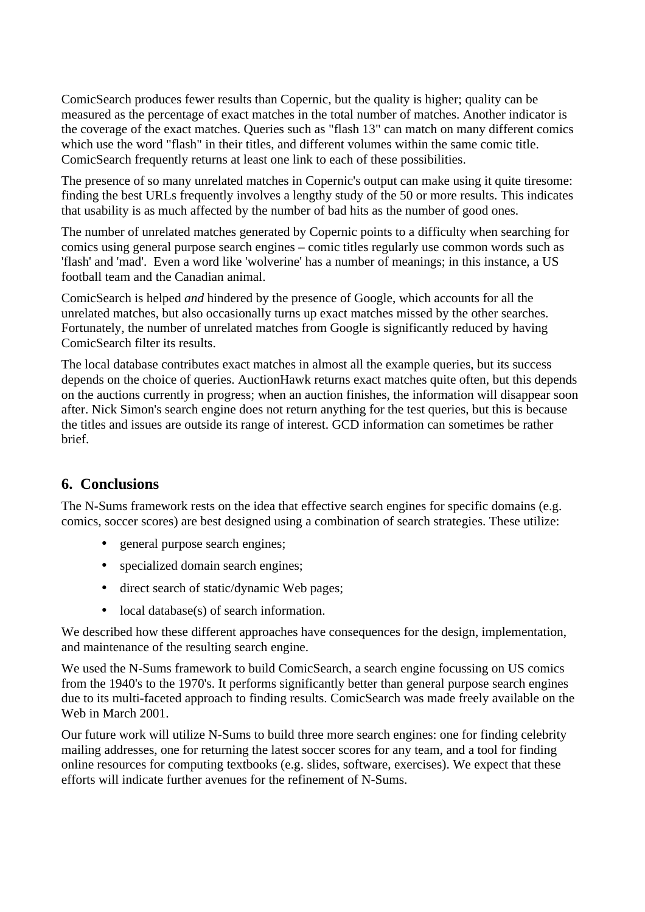ComicSearch produces fewer results than Copernic, but the quality is higher; quality can be measured as the percentage of exact matches in the total number of matches. Another indicator is the coverage of the exact matches. Queries such as "flash 13" can match on many different comics which use the word "flash" in their titles, and different volumes within the same comic title. ComicSearch frequently returns at least one link to each of these possibilities.

The presence of so many unrelated matches in Copernic's output can make using it quite tiresome: finding the best URLs frequently involves a lengthy study of the 50 or more results. This indicates that usability is as much affected by the number of bad hits as the number of good ones.

The number of unrelated matches generated by Copernic points to a difficulty when searching for comics using general purpose search engines – comic titles regularly use common words such as 'flash' and 'mad'. Even a word like 'wolverine' has a number of meanings; in this instance, a US football team and the Canadian animal.

ComicSearch is helped *and* hindered by the presence of Google, which accounts for all the unrelated matches, but also occasionally turns up exact matches missed by the other searches. Fortunately, the number of unrelated matches from Google is significantly reduced by having ComicSearch filter its results.

The local database contributes exact matches in almost all the example queries, but its success depends on the choice of queries. AuctionHawk returns exact matches quite often, but this depends on the auctions currently in progress; when an auction finishes, the information will disappear soon after. Nick Simon's search engine does not return anything for the test queries, but this is because the titles and issues are outside its range of interest. GCD information can sometimes be rather brief.

### **6. Conclusions**

The N-Sums framework rests on the idea that effective search engines for specific domains (e.g. comics, soccer scores) are best designed using a combination of search strategies. These utilize:

- general purpose search engines;
- specialized domain search engines;
- direct search of static/dynamic Web pages;
- local database(s) of search information.

We described how these different approaches have consequences for the design, implementation, and maintenance of the resulting search engine.

We used the N-Sums framework to build ComicSearch, a search engine focussing on US comics from the 1940's to the 1970's. It performs significantly better than general purpose search engines due to its multi-faceted approach to finding results. ComicSearch was made freely available on the Web in March 2001.

Our future work will utilize N-Sums to build three more search engines: one for finding celebrity mailing addresses, one for returning the latest soccer scores for any team, and a tool for finding online resources for computing textbooks (e.g. slides, software, exercises). We expect that these efforts will indicate further avenues for the refinement of N-Sums.